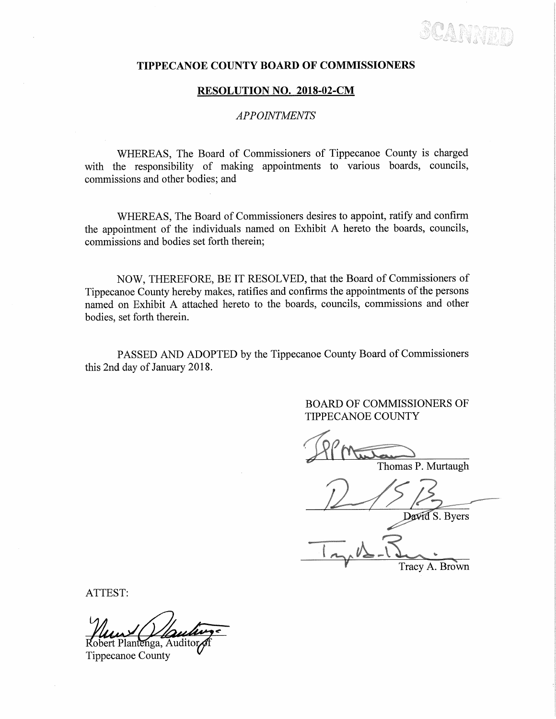SCANNEL

## TIPPECANOE COUNTY BOARD OF COMMISSIONERS

## RESOLUTION NO. 2018-02-CM

## APPOINTMENTS

WHEREAS, The Board of Commissioners of Tippecanoe County is charged with the responsibility of making appointments to various boards, councils, commissions and other bodies; and

WHEREAS, The Board of Commissioners desires to appoint, ratify and confirm the appointment of the individuals named on Exhibit <sup>A</sup> hereto the boards, councils, commissions and bodies set forth therein;

NOW, THEREFORE, BE IT RESOLVED, that the Board of Commissioners of Tippecanoe County hereby makes, ratifies and confirms the appointments of the persons named on Exhibit A attached hereto to the boards, councils, commissions and other bodies, set forth therein.

PASSED AND ADOPTED by the Tippecanoe County Board of Commissioners this 2nd day of January 2018.

> BOARD OF COMMISSIONERS OF TIPPECANOE COUNTY

Thomas P. Murtaugh

David S. Byers

 $\sim$   $\sim$   $\sim$ Tracy A. Brown

ATTEST:

lantenga, Auditor

Tippecanoe County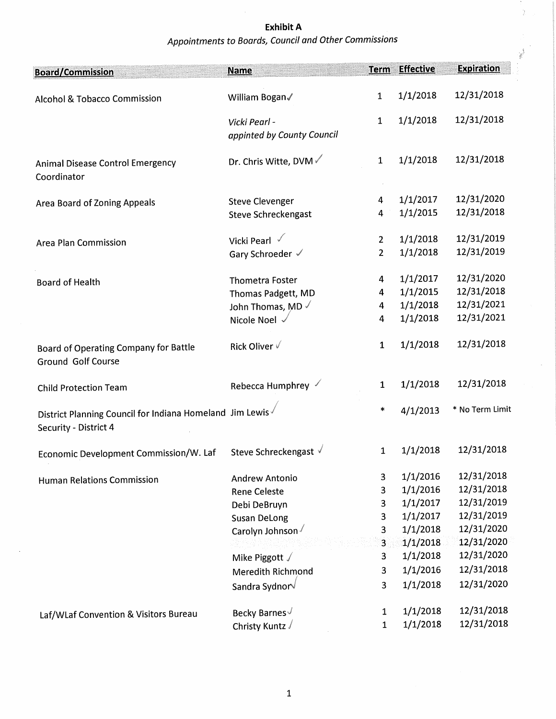Exhibit A \_ Appointments to Boards, Council and Other Commissions

÷.  $\bar{\bar{Z}}$ 

| <b>Board/Commission</b>                                                           | <b>Name</b>                                 | <b>Term</b>    | <b>Effective</b> | <b>Expiration</b> |
|-----------------------------------------------------------------------------------|---------------------------------------------|----------------|------------------|-------------------|
| Alcohol & Tobacco Commission                                                      | William Bogan                               | 1              | 1/1/2018         | 12/31/2018        |
|                                                                                   | Vicki Pearl -<br>appinted by County Council | $\mathbf 1$    | 1/1/2018         | 12/31/2018        |
| <b>Animal Disease Control Emergency</b><br>Coordinator                            | Dr. Chris Witte, DVM √                      | $\mathbf{1}$   | 1/1/2018         | 12/31/2018        |
| Area Board of Zoning Appeals                                                      | <b>Steve Clevenger</b>                      | 4              | 1/1/2017         | 12/31/2020        |
|                                                                                   | Steve Schreckengast                         | 4              | 1/1/2015         | 12/31/2018        |
| <b>Area Plan Commission</b>                                                       | Vicki Pearl √                               | $\overline{2}$ | 1/1/2018         | 12/31/2019        |
|                                                                                   | Gary Schroeder √                            | $2^{\circ}$    | 1/1/2018         | 12/31/2019        |
| <b>Board of Health</b>                                                            | <b>Thometra Foster</b>                      | 4              | 1/1/2017         | 12/31/2020        |
|                                                                                   | Thomas Padgett, MD                          | 4              | 1/1/2015         | 12/31/2018        |
|                                                                                   | John Thomas, MD $\sqrt{}$                   | 4              | 1/1/2018         | 12/31/2021        |
|                                                                                   | Nicole Noel -                               | 4              | 1/1/2018         | 12/31/2021        |
| Board of Operating Company for Battle<br><b>Ground Golf Course</b>                | Rick Oliver √                               | 1              | 1/1/2018         | 12/31/2018        |
| <b>Child Protection Team</b>                                                      | Rebecca Humphrey                            | $\mathbf{1}$   | 1/1/2018         | 12/31/2018        |
| District Planning Council for Indiana Homeland Jim Lewis<br>Security - District 4 |                                             | $\ast$         | 4/1/2013         | * No Term Limit   |
| Economic Development Commission/W. Laf Steve Schreckengast √                      |                                             |                | 1/1/2018         | 12/31/2018        |
| <b>Human Relations Commission</b>                                                 | <b>Andrew Antonio</b>                       | 3              | 1/1/2016         | 12/31/2018        |
|                                                                                   | <b>Rene Celeste</b>                         | 3              | 1/1/2016         | 12/31/2018        |
|                                                                                   | Debi DeBruyn                                | 3              | 1/1/2017         | 12/31/2019        |
|                                                                                   | <b>Susan DeLong</b>                         | 3              | 1/1/2017         | 12/31/2019        |
|                                                                                   | Carolyn Johnson                             | 3              | 1/1/2018         | 12/31/2020        |
|                                                                                   |                                             | $\overline{3}$ | 1/1/2018         | 12/31/2020        |
|                                                                                   | Mike Piggott $\sqrt$                        | 3              | 1/1/2018         | 12/31/2020        |
|                                                                                   | <b>Meredith Richmond</b>                    | 3              | 1/1/2016         | 12/31/2018        |
|                                                                                   | Sandra Sydnor√                              | 3              | 1/1/2018         | 12/31/2020        |
|                                                                                   | Becky Barnes√                               | 1              | 1/1/2018         | 12/31/2018        |
| Laf/WLaf Convention & Visitors Bureau                                             | Christy Kuntz √                             | $\mathbf 1$    | 1/1/2018         | 12/31/2018        |
|                                                                                   |                                             |                |                  |                   |

 $\bar{z}$